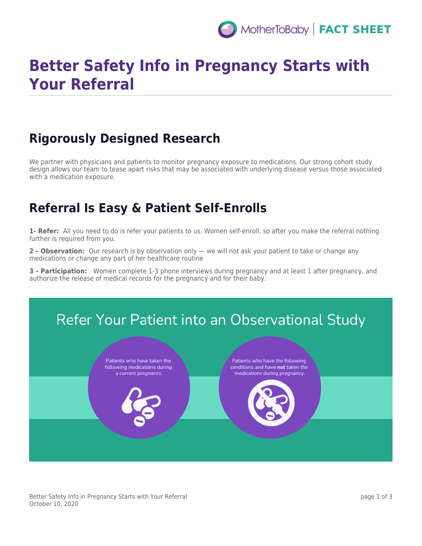

# **Better Safety Info in Pregnancy Starts with Your Referral**

# **Rigorously Designed Research**

We partner with physicians and patients to monitor pregnancy exposure to medications. Our strong cohort study design allows our team to tease apart risks that may be associated with underlying disease versus those associated with a medication exposure.

# **Referral Is Easy & Patient Self-Enrolls**

**1- Refer:** All you need to do is refer your patients to us. Women self-enroll, so after you make the referral nothing further is required from you.

**2 – Observation:** Our research is by observation only — we will not ask your patient to take or change any medications or change any part of her healthcare routine

**3 – Participation:** Women complete 1-3 phone interviews during pregnancy and at least 1 after pregnancy, and authorize the release of medical records for the pregnancy and for their baby.



Better Safety Info in Pregnancy Starts with Your Referral October 10, 2020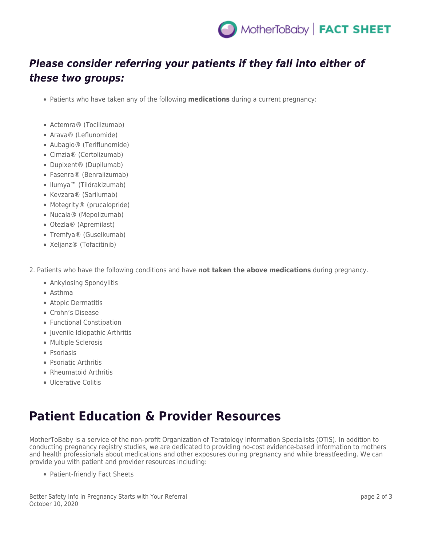

### *Please consider referring your patients if they fall into either of these two groups:*

- Patients who have taken any of the following **medications** during a current pregnancy:
- Actemra® (Tocilizumab)
- Arava® (Leflunomide)
- Aubagio® (Teriflunomide)
- Cimzia® (Certolizumab)
- Dupixent® (Dupilumab)
- Fasenra® (Benralizumab)
- Ilumya™ (Tildrakizumab)
- Kevzara® (Sarilumab)
- Motegrity® (prucalopride)
- Nucala® (Mepolizumab)
- Otezla® (Apremilast)
- Tremfya® (Guselkumab)
- Xeljanz® (Tofacitinib)
- 2. Patients who have the following conditions and have **not taken the above medications** during pregnancy.
	- Ankylosing Spondylitis
	- Asthma
	- Atopic Dermatitis
	- Crohn's Disease
	- Functional Constipation
	- Juvenile Idiopathic Arthritis
	- Multiple Sclerosis
	- Psoriasis
	- Psoriatic Arthritis
	- Rheumatoid Arthritis
	- Ulcerative Colitis

# **Patient Education & Provider Resources**

MotherToBaby is a service of the non-profit Organization of Teratology Information Specialists (OTIS). In addition to conducting pregnancy registry studies, we are dedicated to providing no-cost evidence-based information to mothers and health professionals about medications and other exposures during pregnancy and while breastfeeding. We can provide you with patient and provider resources including:

• Patient-friendly Fact Sheets